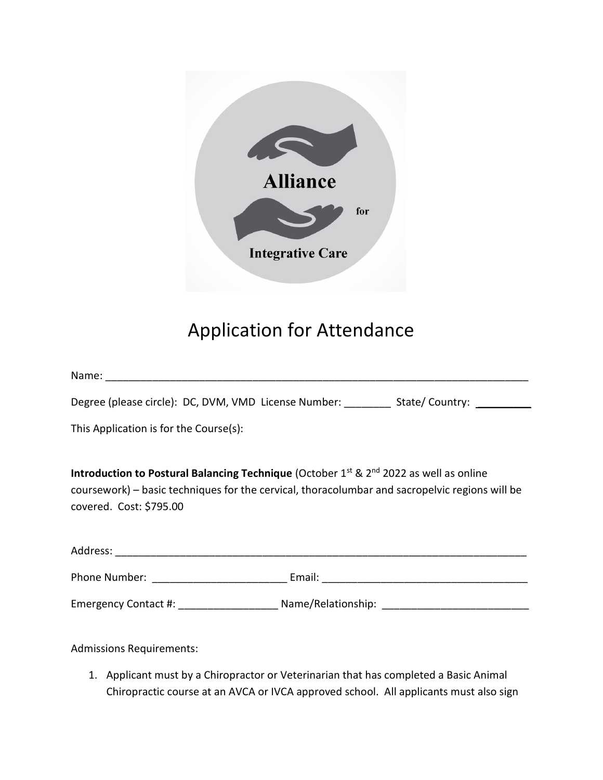

## Application for Attendance

| Degree (please circle): DC, DVM, VMD License Number: __________ State/ Country: ________                                                                                                                                                    |
|---------------------------------------------------------------------------------------------------------------------------------------------------------------------------------------------------------------------------------------------|
| This Application is for the Course(s):                                                                                                                                                                                                      |
| Introduction to Postural Balancing Technique (October 1 <sup>st</sup> & 2 <sup>nd</sup> 2022 as well as online<br>coursework) – basic techniques for the cervical, thoracolumbar and sacropelvic regions will be<br>covered. Cost: \$795.00 |
|                                                                                                                                                                                                                                             |
|                                                                                                                                                                                                                                             |

Emergency Contact #: \_\_\_\_\_\_\_\_\_\_\_\_\_\_\_\_\_ Name/Relationship: \_\_\_\_\_\_\_\_\_\_\_\_\_\_\_\_\_\_\_\_\_\_\_\_\_

Admissions Requirements:

1. Applicant must by a Chiropractor or Veterinarian that has completed a Basic Animal Chiropractic course at an AVCA or IVCA approved school. All applicants must also sign